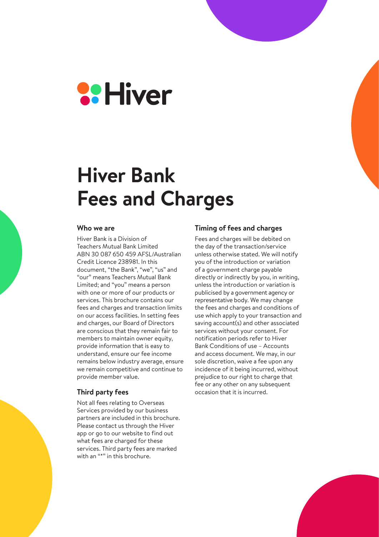

# **Hiver Bank Fees and Charges**

#### **Who we are**

Hiver Bank is a Division of Teachers Mutual Bank Limited ABN 30 087 650 459 AFSL/Australian Credit Licence 238981. In this document, "the Bank", "we", "us" and "our" means Teachers Mutual Bank Limited; and "you" means a person with one or more of our products or services. This brochure contains our fees and charges and transaction limits on our access facilities. In setting fees and charges, our Board of Directors are conscious that they remain fair to members to maintain owner equity, provide information that is easy to understand, ensure our fee income remains below industry average, ensure we remain competitive and continue to provide member value.

#### **Third party fees**

Not all fees relating to Overseas Services provided by our business partners are included in this brochure. Please contact us through the Hiver app or go to our website to find out what fees are charged for these services. Third party fees are marked with an "\*" in this brochure.

#### **Timing of fees and charges**

Fees and charges will be debited on the day of the transaction/service unless otherwise stated. We will notify you of the introduction or variation of a government charge payable directly or indirectly by you, in writing, unless the introduction or variation is publicised by a government agency or representative body. We may change the fees and charges and conditions of use which apply to your transaction and saving account(s) and other associated services without your consent. For notification periods refer to Hiver Bank Conditions of use – Accounts and access document. We may, in our sole discretion, waive a fee upon any incidence of it being incurred, without prejudice to our right to charge that fee or any other on any subsequent occasion that it is incurred.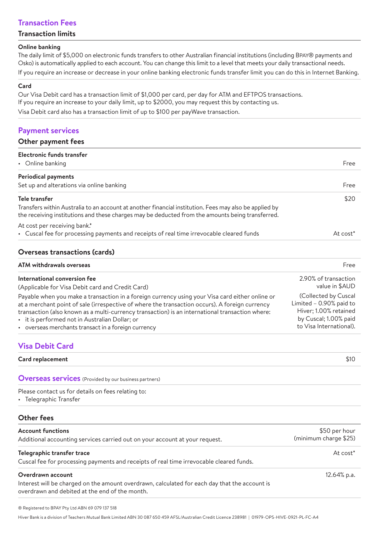# **Transaction Fees**

#### **Transaction limits**

#### **Online banking**

The daily limit of \$5,000 on electronic funds transfers to other Australian financial institutions (including BPAY® payments and Osko) is automatically applied to each account. You can change this limit to a level that meets your daily transactional needs. If you require an increase or decrease in your online banking electronic funds transfer limit you can do this in Internet Banking.

#### **Card**

Our Visa Debit card has a transaction limit of \$1,000 per card, per day for ATM and EFTPOS transactions. If you require an increase to your daily limit, up to \$2000, you may request this by contacting us. Visa Debit card also has a transaction limit of up to \$100 per payWave transaction.

# **Payment services**

#### **Other payment fees**

| <b>Electronic funds transfer</b><br>• Online banking                                                                                                                                                       | Free        |
|------------------------------------------------------------------------------------------------------------------------------------------------------------------------------------------------------------|-------------|
|                                                                                                                                                                                                            |             |
| <b>Periodical payments</b>                                                                                                                                                                                 |             |
| Set up and alterations via online banking                                                                                                                                                                  | Free        |
| Tele transfer                                                                                                                                                                                              | \$20        |
| Transfers within Australia to an account at another financial institution. Fees may also be applied by<br>the receiving institutions and these charges may be deducted from the amounts being transferred. |             |
| At cost per receiving bank.*                                                                                                                                                                               |             |
| • Cuscal fee for processing payments and receipts of real time irrevocable cleared funds                                                                                                                   | At $cost^*$ |

#### **Overseas transactions (cards)**

| <b>ATM withdrawals overseas</b>                                                                 | Free                    |
|-------------------------------------------------------------------------------------------------|-------------------------|
| International conversion fee                                                                    | 2.90% of transaction    |
| (Applicable for Visa Debit card and Credit Card)                                                | value in \$AUD          |
| Payable when you make a transaction in a foreign currency using your Visa card either online or | (Collected by Cuscal    |
| at a merchant point of sale (irrespective of where the transaction occurs). A foreign currency  | Limited - 0.90% paid to |
| transaction (also known as a multi-currency transaction) is an international transaction where: | Hiver; 1.00% retained   |
| • it is performed not in Australian Dollar; or                                                  | by Cuscal; 1.00% paid   |
| • overseas merchants transact in a foreign currency                                             | to Visa International). |

# **Visa Debit Card**

**Card replacement** \$10

**Overseas services** (Provided by our business partners)

Please contact us for details on fees relating to:

• Telegraphic Transfer

#### **Other fees**

| <b>Account functions</b><br>Additional accounting services carried out on your account at your request.                                                              | \$50 per hour<br>(minimum charge \$25) |
|----------------------------------------------------------------------------------------------------------------------------------------------------------------------|----------------------------------------|
| Telegraphic transfer trace<br>Cuscal fee for processing payments and receipts of real time irrevocable cleared funds.                                                | At $cost^*$                            |
| Overdrawn account<br>Interest will be charged on the amount overdrawn, calculated for each day that the account is<br>overdrawn and debited at the end of the month. | $12.64\%$ p.a.                         |

® Registered to BPAY Pty Ltd ABN 69 079 137 518